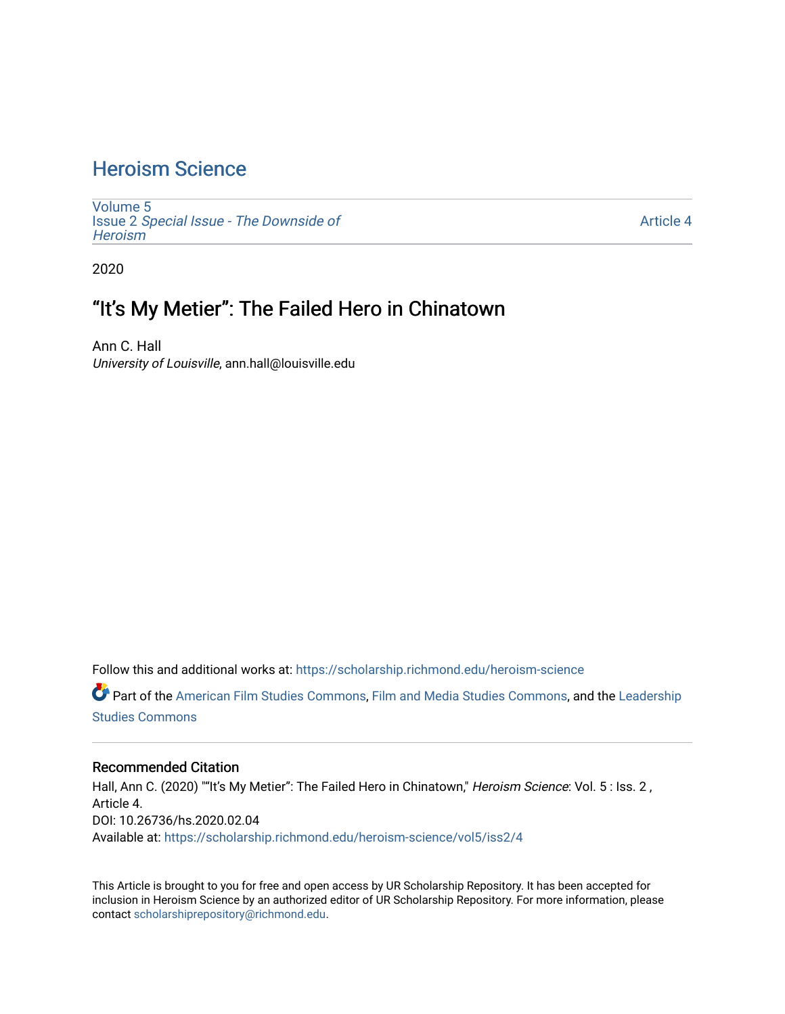# [Heroism Science](https://scholarship.richmond.edu/heroism-science)

[Volume 5](https://scholarship.richmond.edu/heroism-science/vol5) Issue 2 [Special Issue - The Downside of](https://scholarship.richmond.edu/heroism-science/vol5/iss2)  **Heroism** 

[Article 4](https://scholarship.richmond.edu/heroism-science/vol5/iss2/4) 

2020

# "It's My Metier": The Failed Hero in Chinatown

Ann C. Hall University of Louisville, ann.hall@louisville.edu

Follow this and additional works at: [https://scholarship.richmond.edu/heroism-science](https://scholarship.richmond.edu/heroism-science?utm_source=scholarship.richmond.edu%2Fheroism-science%2Fvol5%2Fiss2%2F4&utm_medium=PDF&utm_campaign=PDFCoverPages) 

Part of the [American Film Studies Commons,](http://network.bepress.com/hgg/discipline/440?utm_source=scholarship.richmond.edu%2Fheroism-science%2Fvol5%2Fiss2%2F4&utm_medium=PDF&utm_campaign=PDFCoverPages) [Film and Media Studies Commons,](http://network.bepress.com/hgg/discipline/563?utm_source=scholarship.richmond.edu%2Fheroism-science%2Fvol5%2Fiss2%2F4&utm_medium=PDF&utm_campaign=PDFCoverPages) and the Leadership [Studies Commons](http://network.bepress.com/hgg/discipline/1250?utm_source=scholarship.richmond.edu%2Fheroism-science%2Fvol5%2Fiss2%2F4&utm_medium=PDF&utm_campaign=PDFCoverPages) 

#### Recommended Citation

Hall, Ann C. (2020) ""It's My Metier": The Failed Hero in Chinatown," Heroism Science: Vol. 5 : Iss. 2, Article 4. DOI: 10.26736/hs.2020.02.04 Available at: [https://scholarship.richmond.edu/heroism-science/vol5/iss2/4](https://scholarship.richmond.edu/heroism-science/vol5/iss2/4?utm_source=scholarship.richmond.edu%2Fheroism-science%2Fvol5%2Fiss2%2F4&utm_medium=PDF&utm_campaign=PDFCoverPages)

This Article is brought to you for free and open access by UR Scholarship Repository. It has been accepted for inclusion in Heroism Science by an authorized editor of UR Scholarship Repository. For more information, please contact [scholarshiprepository@richmond.edu](mailto:scholarshiprepository@richmond.edu).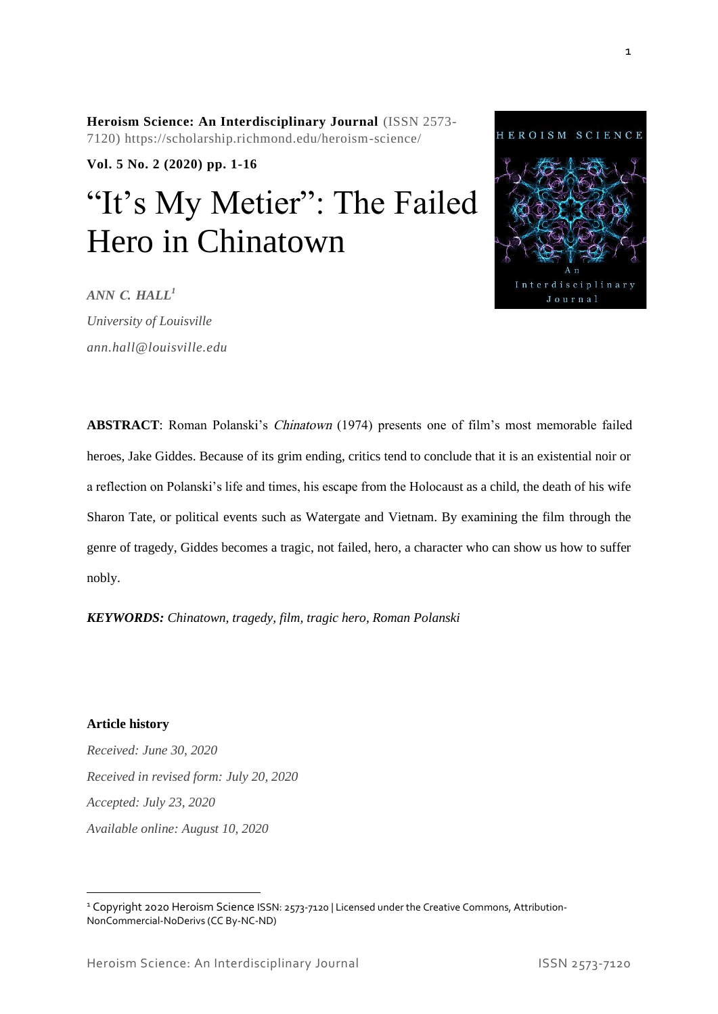*KEYWORDS: Chinatown, tragedy, film, tragic hero, Roman Polanski*

**Article history**

nobly.

*Received: June 30, 2020 Received in revised form: July 20, 2020 Accepted: July 23, 2020 Available online: August 10, 2020*

<sup>1</sup> Copyright 2020 Heroism Science ISSN: 2573-7120 | Licensed under the Creative Commons, Attribution-NonCommercial-NoDerivs (CC By-NC-ND)

**Heroism Science: An Interdisciplinary Journal** (ISSN 2573- 7120) https://scholarship.richmond.edu/heroism-science/

**Vol. 5 No. 2 (2020) pp. 1-16**

# "It's My Metier": The Failed Hero in Chinatown

**ABSTRACT**: Roman Polanski's Chinatown (1974) presents one of film's most memorable failed

heroes, Jake Giddes. Because of its grim ending, critics tend to conclude that it is an existential noir or

a reflection on Polanski's life and times, his escape from the Holocaust as a child, the death of his wife

Sharon Tate, or political events such as Watergate and Vietnam. By examining the film through the

genre of tragedy, Giddes becomes a tragic, not failed, hero, a character who can show us how to suffer

*ANN C. HALL<sup>1</sup>*

*University of Louisville ann.hall@louisville.edu* 

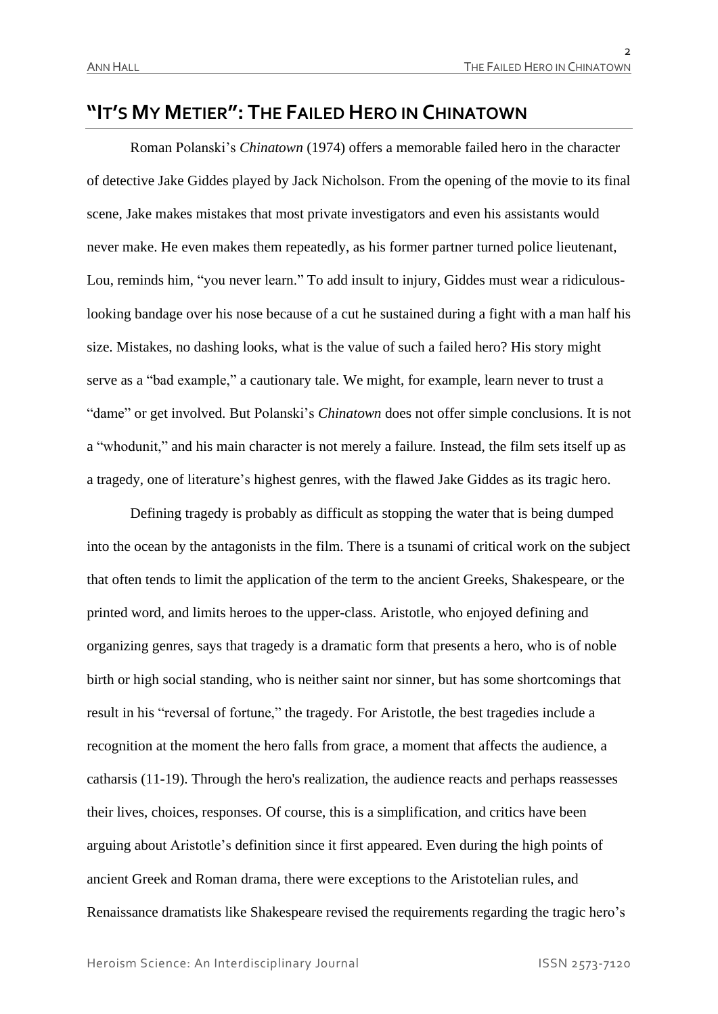### **"IT'S MY METIER": THE FAILED HERO IN CHINATOWN**

Roman Polanski's *Chinatown* (1974) offers a memorable failed hero in the character of detective Jake Giddes played by Jack Nicholson. From the opening of the movie to its final scene, Jake makes mistakes that most private investigators and even his assistants would never make. He even makes them repeatedly, as his former partner turned police lieutenant, Lou, reminds him, "you never learn." To add insult to injury, Giddes must wear a ridiculouslooking bandage over his nose because of a cut he sustained during a fight with a man half his size. Mistakes, no dashing looks, what is the value of such a failed hero? His story might serve as a "bad example," a cautionary tale. We might, for example, learn never to trust a "dame" or get involved. But Polanski's *Chinatown* does not offer simple conclusions. It is not a "whodunit," and his main character is not merely a failure. Instead, the film sets itself up as a tragedy, one of literature's highest genres, with the flawed Jake Giddes as its tragic hero.

Defining tragedy is probably as difficult as stopping the water that is being dumped into the ocean by the antagonists in the film. There is a tsunami of critical work on the subject that often tends to limit the application of the term to the ancient Greeks, Shakespeare, or the printed word, and limits heroes to the upper-class. Aristotle, who enjoyed defining and organizing genres, says that tragedy is a dramatic form that presents a hero, who is of noble birth or high social standing, who is neither saint nor sinner, but has some shortcomings that result in his "reversal of fortune," the tragedy. For Aristotle, the best tragedies include a recognition at the moment the hero falls from grace, a moment that affects the audience, a catharsis (11-19). Through the hero's realization, the audience reacts and perhaps reassesses their lives, choices, responses. Of course, this is a simplification, and critics have been arguing about Aristotle's definition since it first appeared. Even during the high points of ancient Greek and Roman drama, there were exceptions to the Aristotelian rules, and Renaissance dramatists like Shakespeare revised the requirements regarding the tragic hero's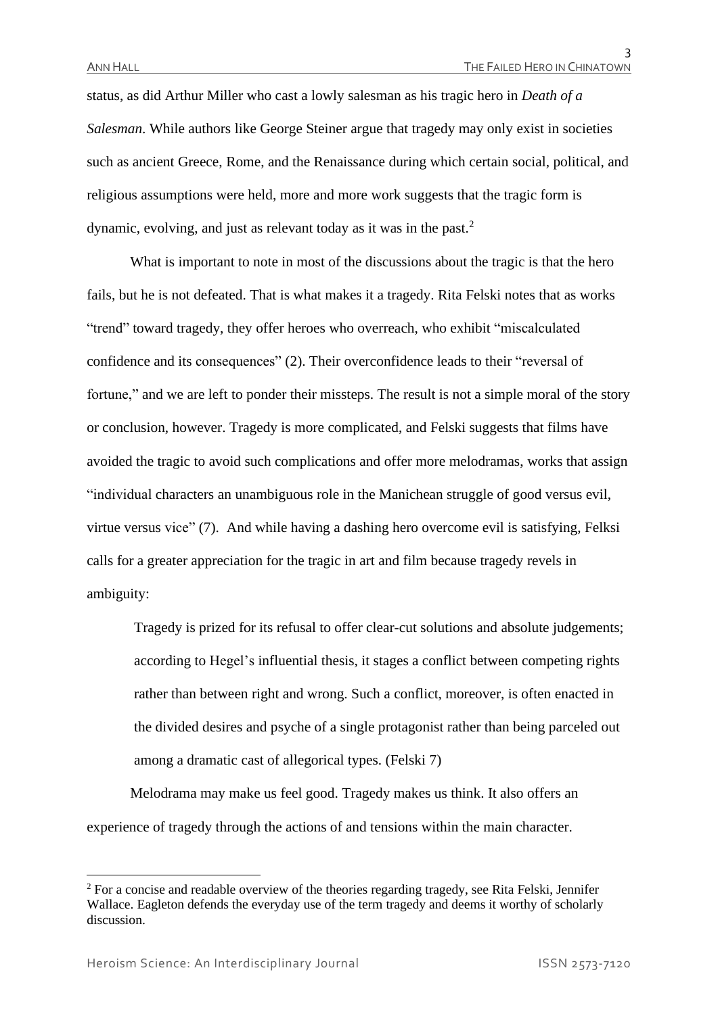status, as did Arthur Miller who cast a lowly salesman as his tragic hero in *Death of a Salesman*. While authors like George Steiner argue that tragedy may only exist in societies such as ancient Greece, Rome, and the Renaissance during which certain social, political, and religious assumptions were held, more and more work suggests that the tragic form is dynamic, evolving, and just as relevant today as it was in the past.<sup>2</sup>

What is important to note in most of the discussions about the tragic is that the hero fails, but he is not defeated. That is what makes it a tragedy. Rita Felski notes that as works "trend" toward tragedy, they offer heroes who overreach, who exhibit "miscalculated confidence and its consequences" (2). Their overconfidence leads to their "reversal of fortune," and we are left to ponder their missteps. The result is not a simple moral of the story or conclusion, however. Tragedy is more complicated, and Felski suggests that films have avoided the tragic to avoid such complications and offer more melodramas, works that assign "individual characters an unambiguous role in the Manichean struggle of good versus evil, virtue versus vice" (7). And while having a dashing hero overcome evil is satisfying, Felksi calls for a greater appreciation for the tragic in art and film because tragedy revels in ambiguity:

Tragedy is prized for its refusal to offer clear-cut solutions and absolute judgements; according to Hegel's influential thesis, it stages a conflict between competing rights rather than between right and wrong. Such a conflict, moreover, is often enacted in the divided desires and psyche of a single protagonist rather than being parceled out among a dramatic cast of allegorical types. (Felski 7)

Melodrama may make us feel good. Tragedy makes us think. It also offers an experience of tragedy through the actions of and tensions within the main character.

<sup>&</sup>lt;sup>2</sup> For a concise and readable overview of the theories regarding tragedy, see Rita Felski, Jennifer Wallace. Eagleton defends the everyday use of the term tragedy and deems it worthy of scholarly discussion.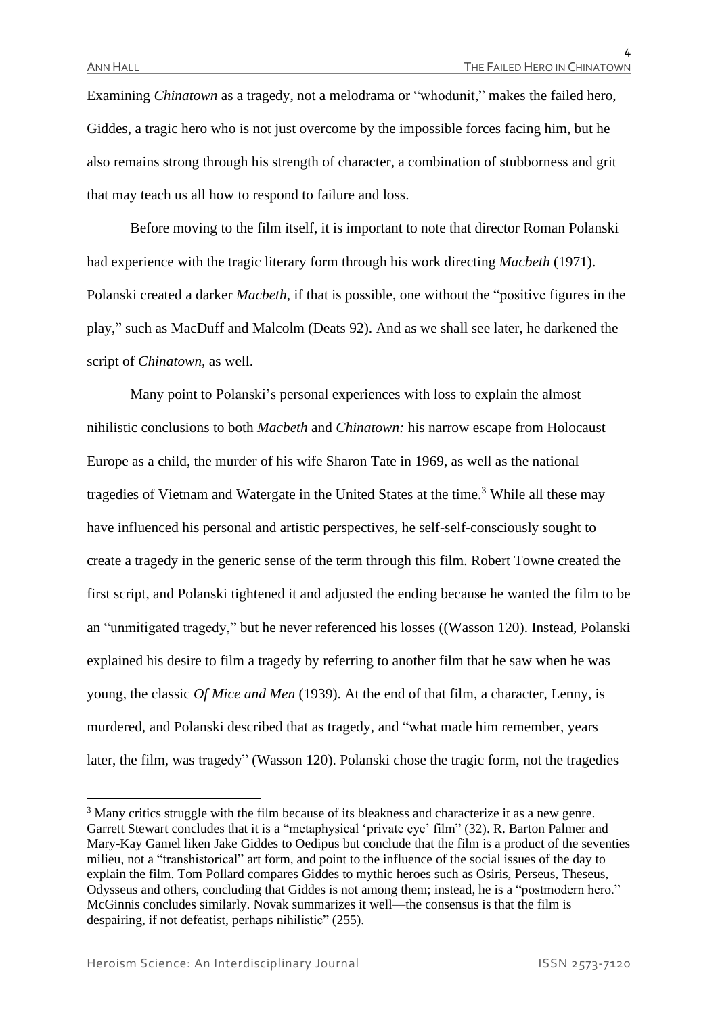4

Examining *Chinatown* as a tragedy, not a melodrama or "whodunit," makes the failed hero, Giddes, a tragic hero who is not just overcome by the impossible forces facing him, but he also remains strong through his strength of character, a combination of stubborness and grit that may teach us all how to respond to failure and loss.

Before moving to the film itself, it is important to note that director Roman Polanski had experience with the tragic literary form through his work directing *Macbeth* (1971). Polanski created a darker *Macbeth*, if that is possible, one without the "positive figures in the play," such as MacDuff and Malcolm (Deats 92). And as we shall see later, he darkened the script of *Chinatown,* as well.

Many point to Polanski's personal experiences with loss to explain the almost nihilistic conclusions to both *Macbeth* and *Chinatown:* his narrow escape from Holocaust Europe as a child, the murder of his wife Sharon Tate in 1969, as well as the national tragedies of Vietnam and Watergate in the United States at the time.<sup>3</sup> While all these may have influenced his personal and artistic perspectives, he self-self-consciously sought to create a tragedy in the generic sense of the term through this film. Robert Towne created the first script, and Polanski tightened it and adjusted the ending because he wanted the film to be an "unmitigated tragedy," but he never referenced his losses ((Wasson 120). Instead, Polanski explained his desire to film a tragedy by referring to another film that he saw when he was young, the classic *Of Mice and Men* (1939). At the end of that film, a character, Lenny, is murdered, and Polanski described that as tragedy, and "what made him remember, years later, the film, was tragedy" (Wasson 120). Polanski chose the tragic form, not the tragedies

<sup>&</sup>lt;sup>3</sup> Many critics struggle with the film because of its bleakness and characterize it as a new genre. Garrett Stewart concludes that it is a "metaphysical 'private eye' film" (32). R. Barton Palmer and Mary-Kay Gamel liken Jake Giddes to Oedipus but conclude that the film is a product of the seventies milieu, not a "transhistorical" art form, and point to the influence of the social issues of the day to explain the film. Tom Pollard compares Giddes to mythic heroes such as Osiris, Perseus, Theseus, Odysseus and others, concluding that Giddes is not among them; instead, he is a "postmodern hero." McGinnis concludes similarly. Novak summarizes it well—the consensus is that the film is despairing, if not defeatist, perhaps nihilistic" (255).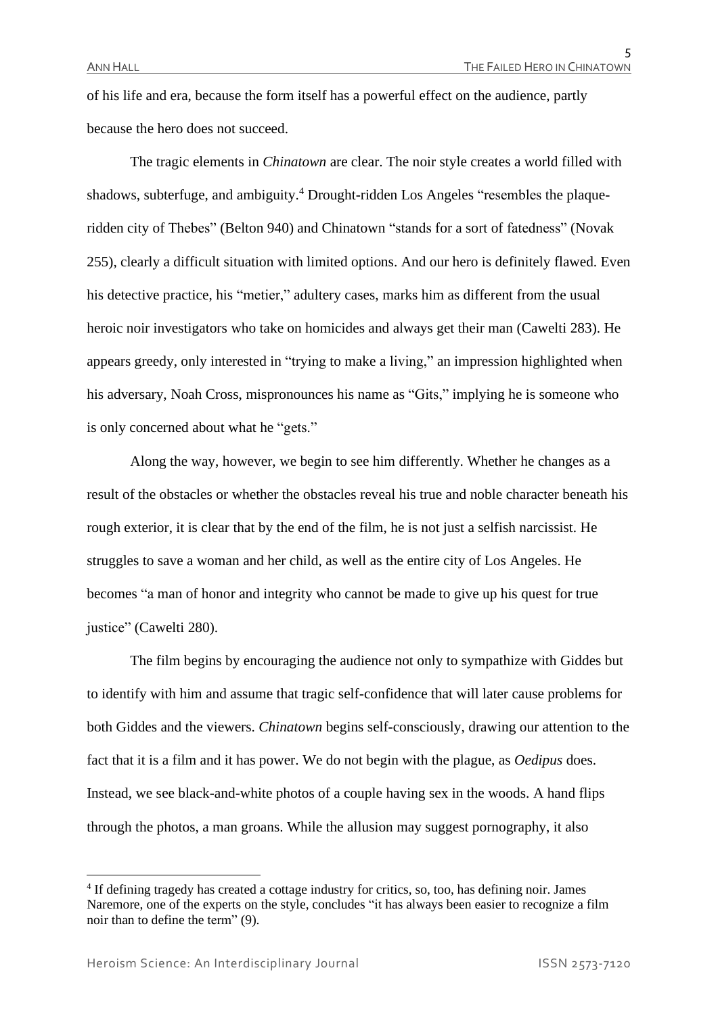of his life and era, because the form itself has a powerful effect on the audience, partly because the hero does not succeed.

The tragic elements in *Chinatown* are clear. The noir style creates a world filled with shadows, subterfuge, and ambiguity.<sup>4</sup> Drought-ridden Los Angeles "resembles the plaqueridden city of Thebes" (Belton 940) and Chinatown "stands for a sort of fatedness" (Novak 255), clearly a difficult situation with limited options. And our hero is definitely flawed. Even his detective practice, his "metier," adultery cases, marks him as different from the usual heroic noir investigators who take on homicides and always get their man (Cawelti 283). He appears greedy, only interested in "trying to make a living," an impression highlighted when his adversary, Noah Cross, mispronounces his name as "Gits," implying he is someone who is only concerned about what he "gets."

Along the way, however, we begin to see him differently. Whether he changes as a result of the obstacles or whether the obstacles reveal his true and noble character beneath his rough exterior, it is clear that by the end of the film, he is not just a selfish narcissist. He struggles to save a woman and her child, as well as the entire city of Los Angeles. He becomes "a man of honor and integrity who cannot be made to give up his quest for true justice" (Cawelti 280).

The film begins by encouraging the audience not only to sympathize with Giddes but to identify with him and assume that tragic self-confidence that will later cause problems for both Giddes and the viewers. *Chinatown* begins self-consciously, drawing our attention to the fact that it is a film and it has power. We do not begin with the plague, as *Oedipus* does. Instead, we see black-and-white photos of a couple having sex in the woods. A hand flips through the photos, a man groans. While the allusion may suggest pornography, it also

<sup>&</sup>lt;sup>4</sup> If defining tragedy has created a cottage industry for critics, so, too, has defining noir. James Naremore, one of the experts on the style, concludes "it has always been easier to recognize a film noir than to define the term" (9).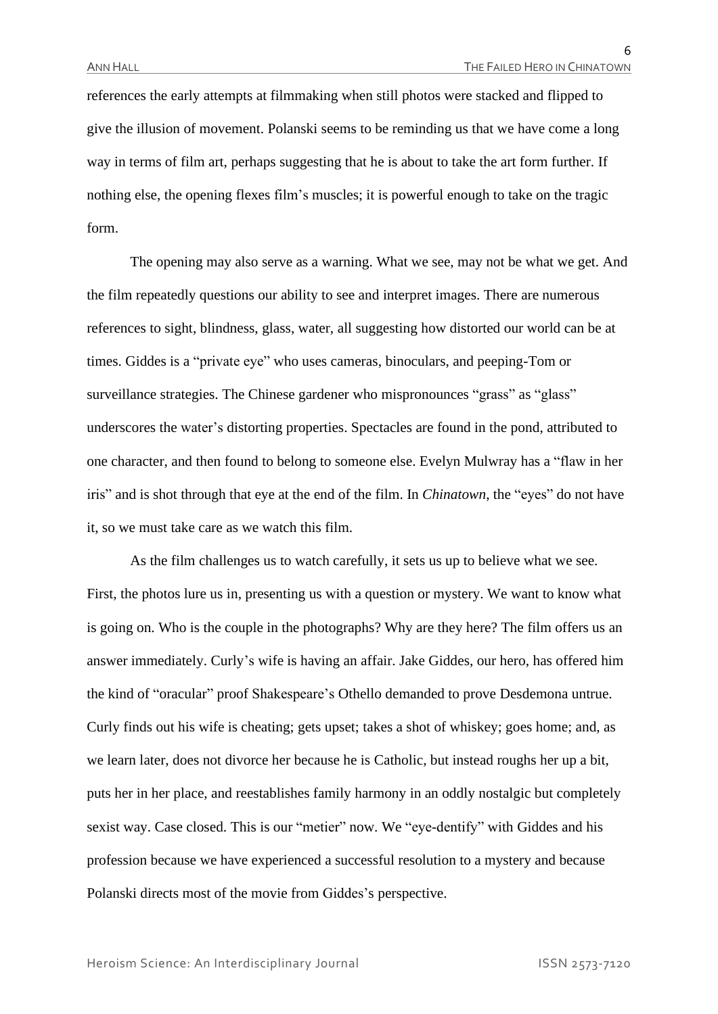6

references the early attempts at filmmaking when still photos were stacked and flipped to give the illusion of movement. Polanski seems to be reminding us that we have come a long way in terms of film art, perhaps suggesting that he is about to take the art form further. If nothing else, the opening flexes film's muscles; it is powerful enough to take on the tragic form.

The opening may also serve as a warning. What we see, may not be what we get. And the film repeatedly questions our ability to see and interpret images. There are numerous references to sight, blindness, glass, water, all suggesting how distorted our world can be at times. Giddes is a "private eye" who uses cameras, binoculars, and peeping-Tom or surveillance strategies. The Chinese gardener who mispronounces "grass" as "glass" underscores the water's distorting properties. Spectacles are found in the pond, attributed to one character, and then found to belong to someone else. Evelyn Mulwray has a "flaw in her iris" and is shot through that eye at the end of the film. In *Chinatown*, the "eyes" do not have it, so we must take care as we watch this film.

As the film challenges us to watch carefully, it sets us up to believe what we see. First, the photos lure us in, presenting us with a question or mystery. We want to know what is going on. Who is the couple in the photographs? Why are they here? The film offers us an answer immediately. Curly's wife is having an affair. Jake Giddes, our hero, has offered him the kind of "oracular" proof Shakespeare's Othello demanded to prove Desdemona untrue. Curly finds out his wife is cheating; gets upset; takes a shot of whiskey; goes home; and, as we learn later, does not divorce her because he is Catholic, but instead roughs her up a bit, puts her in her place, and reestablishes family harmony in an oddly nostalgic but completely sexist way. Case closed. This is our "metier" now. We "eye-dentify" with Giddes and his profession because we have experienced a successful resolution to a mystery and because Polanski directs most of the movie from Giddes's perspective.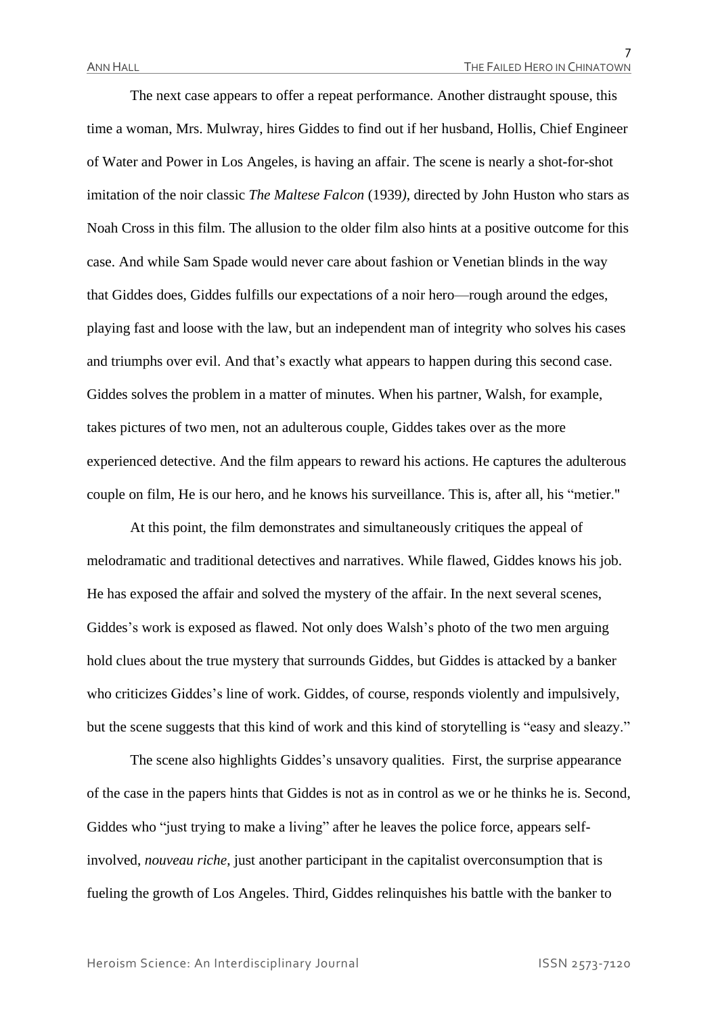The next case appears to offer a repeat performance. Another distraught spouse, this time a woman, Mrs. Mulwray, hires Giddes to find out if her husband, Hollis, Chief Engineer of Water and Power in Los Angeles, is having an affair. The scene is nearly a shot-for-shot imitation of the noir classic *The Maltese Falcon* (1939*)*, directed by John Huston who stars as Noah Cross in this film. The allusion to the older film also hints at a positive outcome for this case. And while Sam Spade would never care about fashion or Venetian blinds in the way that Giddes does, Giddes fulfills our expectations of a noir hero—rough around the edges, playing fast and loose with the law, but an independent man of integrity who solves his cases and triumphs over evil. And that's exactly what appears to happen during this second case. Giddes solves the problem in a matter of minutes. When his partner, Walsh, for example, takes pictures of two men, not an adulterous couple, Giddes takes over as the more experienced detective. And the film appears to reward his actions. He captures the adulterous couple on film, He is our hero, and he knows his surveillance. This is, after all, his "metier."

At this point, the film demonstrates and simultaneously critiques the appeal of melodramatic and traditional detectives and narratives. While flawed, Giddes knows his job. He has exposed the affair and solved the mystery of the affair. In the next several scenes, Giddes's work is exposed as flawed. Not only does Walsh's photo of the two men arguing hold clues about the true mystery that surrounds Giddes, but Giddes is attacked by a banker who criticizes Giddes's line of work. Giddes, of course, responds violently and impulsively, but the scene suggests that this kind of work and this kind of storytelling is "easy and sleazy."

The scene also highlights Giddes's unsavory qualities. First, the surprise appearance of the case in the papers hints that Giddes is not as in control as we or he thinks he is. Second, Giddes who "just trying to make a living" after he leaves the police force, appears selfinvolved, *nouveau riche*, just another participant in the capitalist overconsumption that is fueling the growth of Los Angeles. Third, Giddes relinquishes his battle with the banker to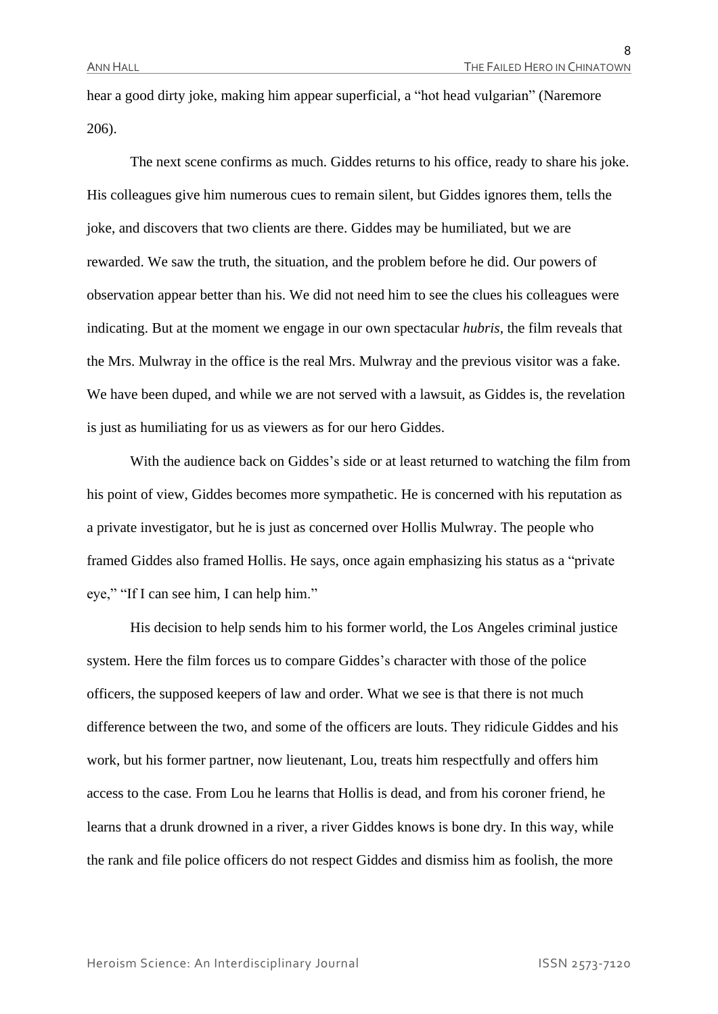hear a good dirty joke, making him appear superficial, a "hot head vulgarian" (Naremore 206).

The next scene confirms as much. Giddes returns to his office, ready to share his joke. His colleagues give him numerous cues to remain silent, but Giddes ignores them, tells the joke, and discovers that two clients are there. Giddes may be humiliated, but we are rewarded. We saw the truth, the situation, and the problem before he did. Our powers of observation appear better than his. We did not need him to see the clues his colleagues were indicating. But at the moment we engage in our own spectacular *hubris*, the film reveals that the Mrs. Mulwray in the office is the real Mrs. Mulwray and the previous visitor was a fake. We have been duped, and while we are not served with a lawsuit, as Giddes is, the revelation is just as humiliating for us as viewers as for our hero Giddes.

With the audience back on Giddes's side or at least returned to watching the film from his point of view, Giddes becomes more sympathetic. He is concerned with his reputation as a private investigator, but he is just as concerned over Hollis Mulwray. The people who framed Giddes also framed Hollis. He says, once again emphasizing his status as a "private eye," "If I can see him, I can help him."

His decision to help sends him to his former world, the Los Angeles criminal justice system. Here the film forces us to compare Giddes's character with those of the police officers, the supposed keepers of law and order. What we see is that there is not much difference between the two, and some of the officers are louts. They ridicule Giddes and his work, but his former partner, now lieutenant, Lou, treats him respectfully and offers him access to the case. From Lou he learns that Hollis is dead, and from his coroner friend, he learns that a drunk drowned in a river, a river Giddes knows is bone dry. In this way, while the rank and file police officers do not respect Giddes and dismiss him as foolish, the more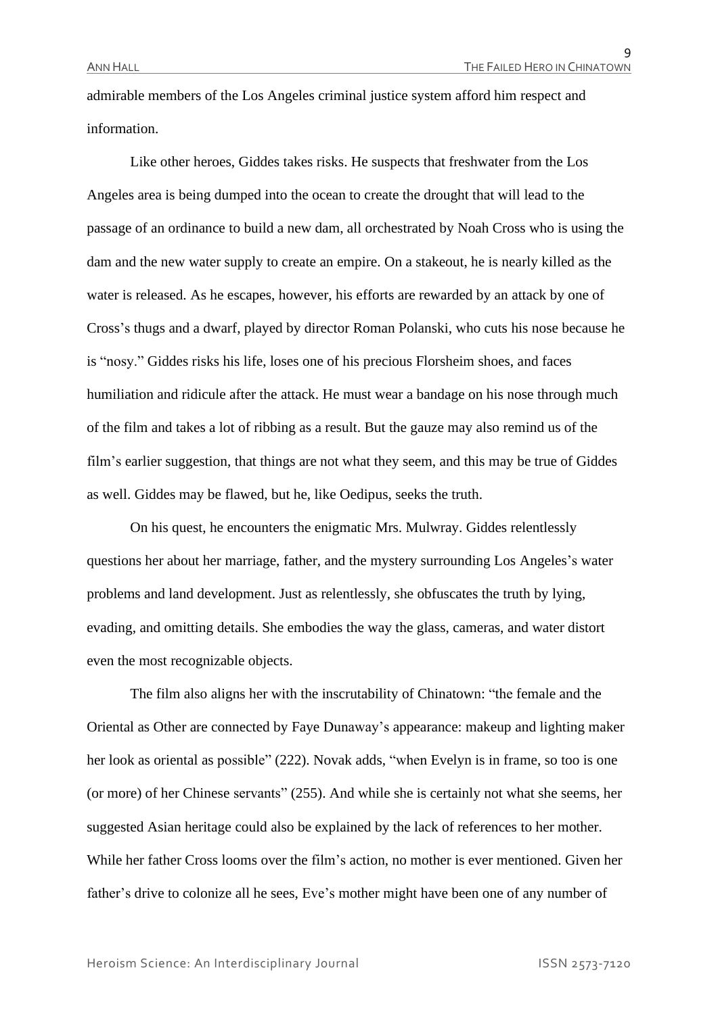admirable members of the Los Angeles criminal justice system afford him respect and information.

Like other heroes, Giddes takes risks. He suspects that freshwater from the Los Angeles area is being dumped into the ocean to create the drought that will lead to the passage of an ordinance to build a new dam, all orchestrated by Noah Cross who is using the dam and the new water supply to create an empire. On a stakeout, he is nearly killed as the water is released. As he escapes, however, his efforts are rewarded by an attack by one of Cross's thugs and a dwarf, played by director Roman Polanski, who cuts his nose because he is "nosy." Giddes risks his life, loses one of his precious Florsheim shoes, and faces humiliation and ridicule after the attack. He must wear a bandage on his nose through much of the film and takes a lot of ribbing as a result. But the gauze may also remind us of the film's earlier suggestion, that things are not what they seem, and this may be true of Giddes as well. Giddes may be flawed, but he, like Oedipus, seeks the truth.

On his quest, he encounters the enigmatic Mrs. Mulwray. Giddes relentlessly questions her about her marriage, father, and the mystery surrounding Los Angeles's water problems and land development. Just as relentlessly, she obfuscates the truth by lying, evading, and omitting details. She embodies the way the glass, cameras, and water distort even the most recognizable objects.

The film also aligns her with the inscrutability of Chinatown: "the female and the Oriental as Other are connected by Faye Dunaway's appearance: makeup and lighting maker her look as oriental as possible" (222). Novak adds, "when Evelyn is in frame, so too is one (or more) of her Chinese servants" (255). And while she is certainly not what she seems, her suggested Asian heritage could also be explained by the lack of references to her mother. While her father Cross looms over the film's action, no mother is ever mentioned. Given her father's drive to colonize all he sees, Eve's mother might have been one of any number of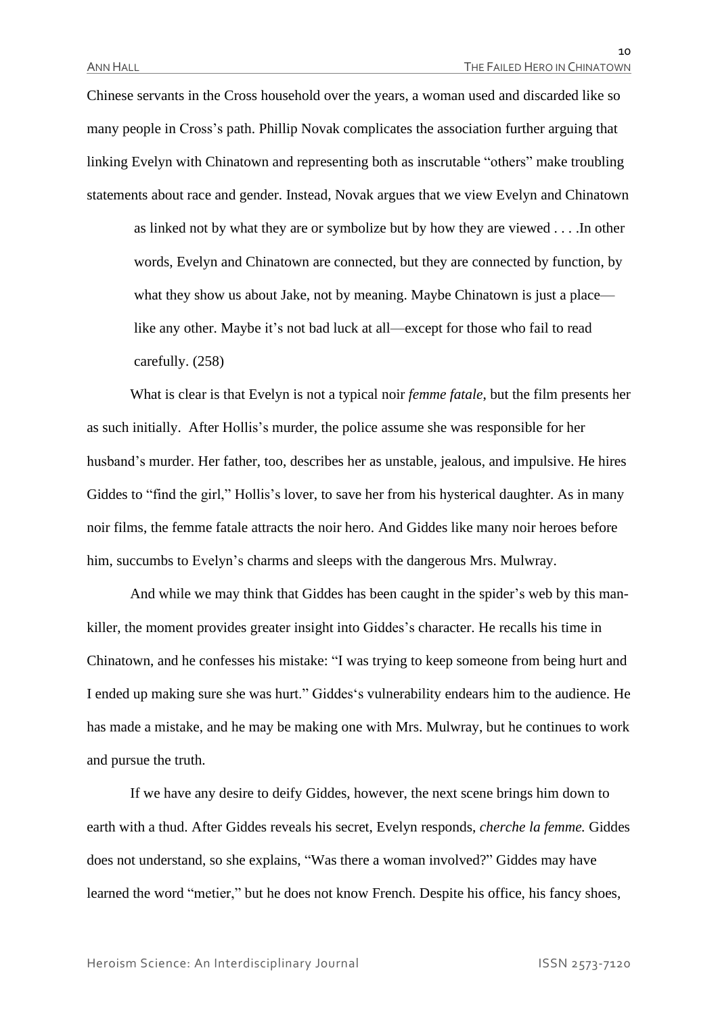Chinese servants in the Cross household over the years, a woman used and discarded like so many people in Cross's path. Phillip Novak complicates the association further arguing that linking Evelyn with Chinatown and representing both as inscrutable "others" make troubling statements about race and gender. Instead, Novak argues that we view Evelyn and Chinatown

as linked not by what they are or symbolize but by how they are viewed . . . .In other words, Evelyn and Chinatown are connected, but they are connected by function, by what they show us about Jake, not by meaning. Maybe Chinatown is just a place like any other. Maybe it's not bad luck at all—except for those who fail to read carefully. (258)

What is clear is that Evelyn is not a typical noir *femme fatale*, but the film presents her as such initially. After Hollis's murder, the police assume she was responsible for her husband's murder. Her father, too, describes her as unstable, jealous, and impulsive. He hires Giddes to "find the girl," Hollis's lover, to save her from his hysterical daughter. As in many noir films, the femme fatale attracts the noir hero. And Giddes like many noir heroes before him, succumbs to Evelyn's charms and sleeps with the dangerous Mrs. Mulwray.

And while we may think that Giddes has been caught in the spider's web by this mankiller, the moment provides greater insight into Giddes's character. He recalls his time in Chinatown, and he confesses his mistake: "I was trying to keep someone from being hurt and I ended up making sure she was hurt." Giddes's vulnerability endears him to the audience. He has made a mistake, and he may be making one with Mrs. Mulwray, but he continues to work and pursue the truth.

If we have any desire to deify Giddes, however, the next scene brings him down to earth with a thud. After Giddes reveals his secret, Evelyn responds, *cherche la femme.* Giddes does not understand, so she explains, "Was there a woman involved?" Giddes may have learned the word "metier," but he does not know French. Despite his office, his fancy shoes,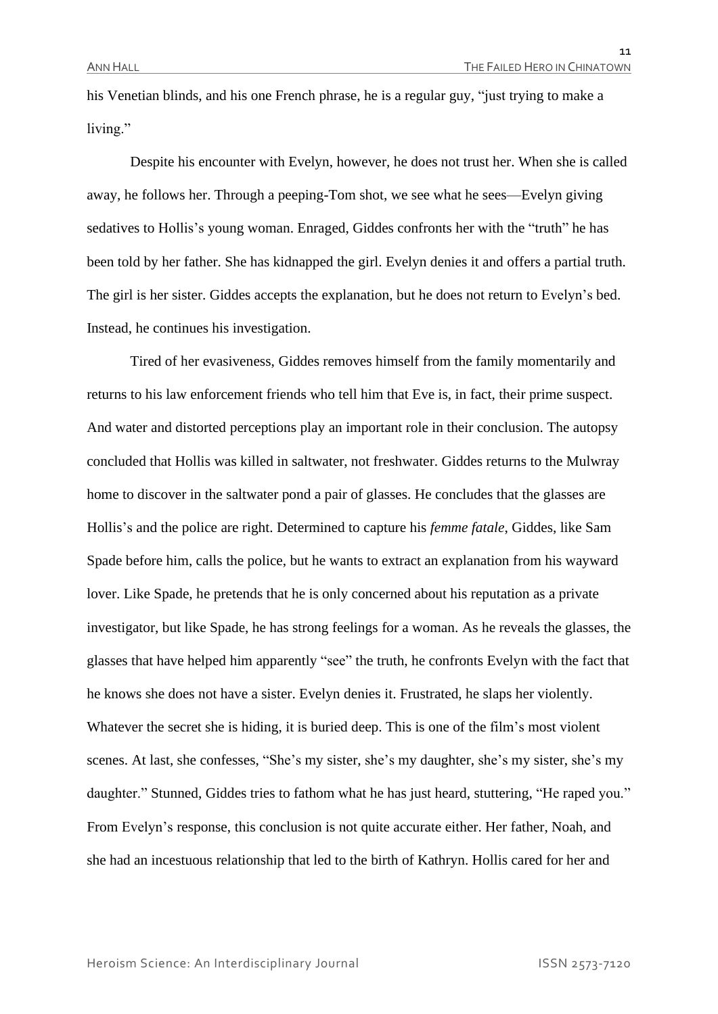his Venetian blinds, and his one French phrase, he is a regular guy, "just trying to make a living."

Despite his encounter with Evelyn, however, he does not trust her. When she is called away, he follows her. Through a peeping-Tom shot, we see what he sees—Evelyn giving sedatives to Hollis's young woman. Enraged, Giddes confronts her with the "truth" he has been told by her father. She has kidnapped the girl. Evelyn denies it and offers a partial truth. The girl is her sister. Giddes accepts the explanation, but he does not return to Evelyn's bed. Instead, he continues his investigation.

Tired of her evasiveness, Giddes removes himself from the family momentarily and returns to his law enforcement friends who tell him that Eve is, in fact, their prime suspect. And water and distorted perceptions play an important role in their conclusion. The autopsy concluded that Hollis was killed in saltwater, not freshwater. Giddes returns to the Mulwray home to discover in the saltwater pond a pair of glasses. He concludes that the glasses are Hollis's and the police are right. Determined to capture his *femme fatale*, Giddes, like Sam Spade before him, calls the police, but he wants to extract an explanation from his wayward lover. Like Spade, he pretends that he is only concerned about his reputation as a private investigator, but like Spade, he has strong feelings for a woman. As he reveals the glasses, the glasses that have helped him apparently "see" the truth, he confronts Evelyn with the fact that he knows she does not have a sister. Evelyn denies it. Frustrated, he slaps her violently. Whatever the secret she is hiding, it is buried deep. This is one of the film's most violent scenes. At last, she confesses, "She's my sister, she's my daughter, she's my sister, she's my daughter." Stunned, Giddes tries to fathom what he has just heard, stuttering, "He raped you." From Evelyn's response, this conclusion is not quite accurate either. Her father, Noah, and she had an incestuous relationship that led to the birth of Kathryn. Hollis cared for her and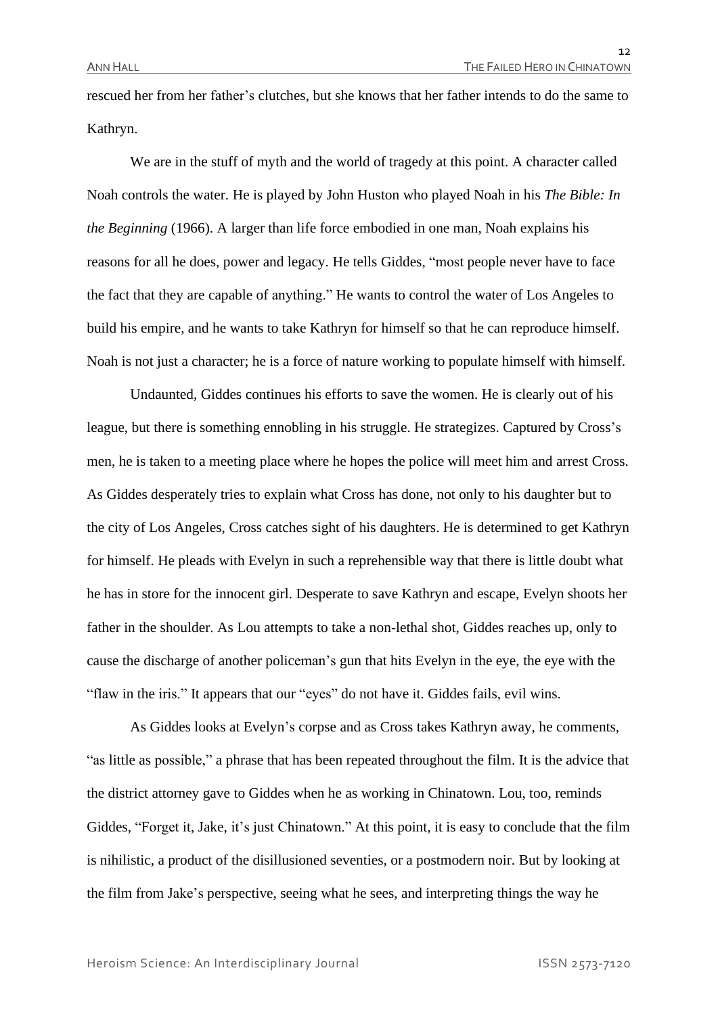rescued her from her father's clutches, but she knows that her father intends to do the same to Kathryn.

We are in the stuff of myth and the world of tragedy at this point. A character called Noah controls the water. He is played by John Huston who played Noah in his *The Bible: In the Beginning* (1966). A larger than life force embodied in one man, Noah explains his reasons for all he does, power and legacy. He tells Giddes, "most people never have to face the fact that they are capable of anything." He wants to control the water of Los Angeles to build his empire, and he wants to take Kathryn for himself so that he can reproduce himself. Noah is not just a character; he is a force of nature working to populate himself with himself.

Undaunted, Giddes continues his efforts to save the women. He is clearly out of his league, but there is something ennobling in his struggle. He strategizes. Captured by Cross's men, he is taken to a meeting place where he hopes the police will meet him and arrest Cross. As Giddes desperately tries to explain what Cross has done, not only to his daughter but to the city of Los Angeles, Cross catches sight of his daughters. He is determined to get Kathryn for himself. He pleads with Evelyn in such a reprehensible way that there is little doubt what he has in store for the innocent girl. Desperate to save Kathryn and escape, Evelyn shoots her father in the shoulder. As Lou attempts to take a non-lethal shot, Giddes reaches up, only to cause the discharge of another policeman's gun that hits Evelyn in the eye, the eye with the "flaw in the iris." It appears that our "eyes" do not have it. Giddes fails, evil wins.

As Giddes looks at Evelyn's corpse and as Cross takes Kathryn away, he comments, "as little as possible," a phrase that has been repeated throughout the film. It is the advice that the district attorney gave to Giddes when he as working in Chinatown. Lou, too, reminds Giddes, "Forget it, Jake, it's just Chinatown." At this point, it is easy to conclude that the film is nihilistic, a product of the disillusioned seventies, or a postmodern noir. But by looking at the film from Jake's perspective, seeing what he sees, and interpreting things the way he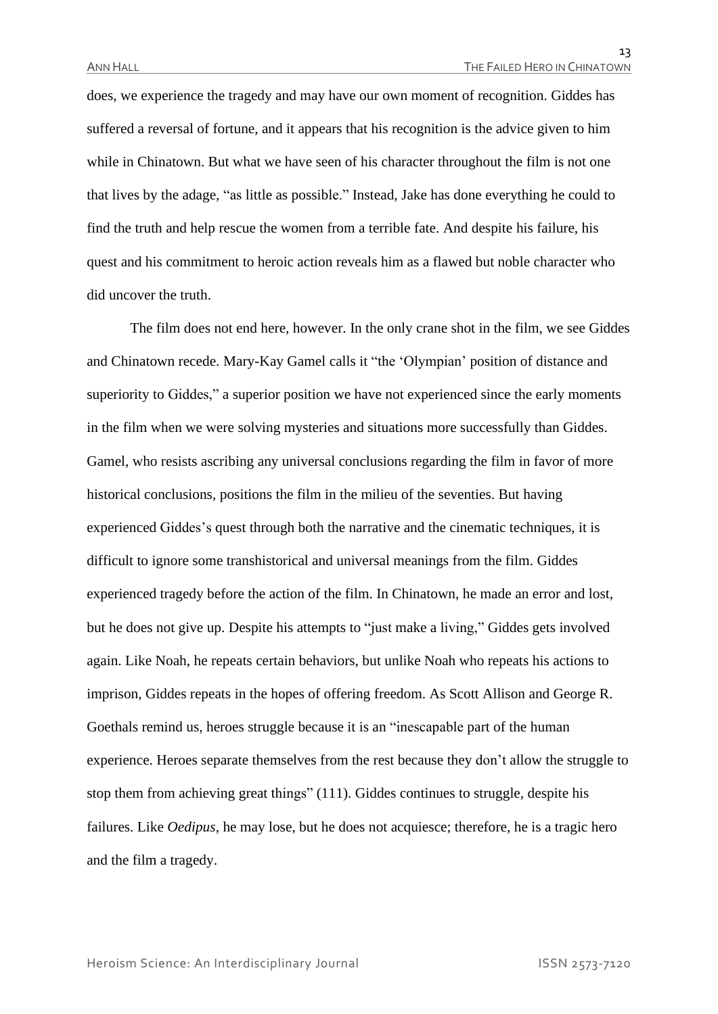does, we experience the tragedy and may have our own moment of recognition. Giddes has suffered a reversal of fortune, and it appears that his recognition is the advice given to him while in Chinatown. But what we have seen of his character throughout the film is not one that lives by the adage, "as little as possible." Instead, Jake has done everything he could to find the truth and help rescue the women from a terrible fate. And despite his failure, his quest and his commitment to heroic action reveals him as a flawed but noble character who did uncover the truth.

The film does not end here, however. In the only crane shot in the film, we see Giddes and Chinatown recede. Mary-Kay Gamel calls it "the 'Olympian' position of distance and superiority to Giddes," a superior position we have not experienced since the early moments in the film when we were solving mysteries and situations more successfully than Giddes. Gamel, who resists ascribing any universal conclusions regarding the film in favor of more historical conclusions, positions the film in the milieu of the seventies. But having experienced Giddes's quest through both the narrative and the cinematic techniques, it is difficult to ignore some transhistorical and universal meanings from the film. Giddes experienced tragedy before the action of the film. In Chinatown, he made an error and lost, but he does not give up. Despite his attempts to "just make a living," Giddes gets involved again. Like Noah, he repeats certain behaviors, but unlike Noah who repeats his actions to imprison, Giddes repeats in the hopes of offering freedom. As Scott Allison and George R. Goethals remind us, heroes struggle because it is an "inescapable part of the human experience. Heroes separate themselves from the rest because they don't allow the struggle to stop them from achieving great things" (111). Giddes continues to struggle, despite his failures. Like *Oedipus*, he may lose, but he does not acquiesce; therefore, he is a tragic hero and the film a tragedy.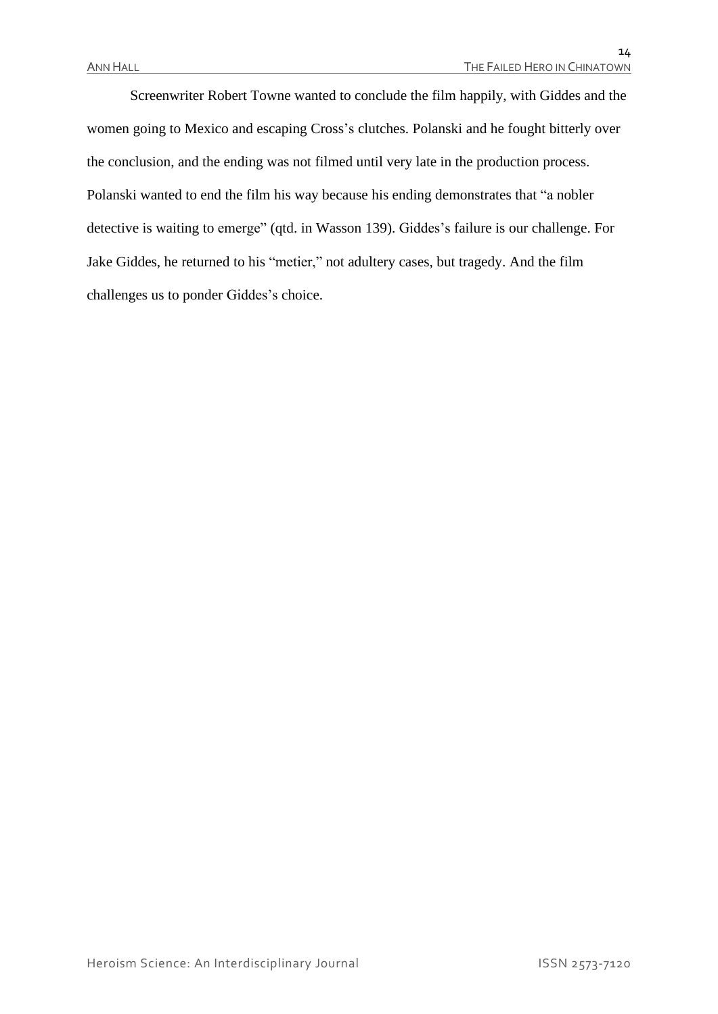Screenwriter Robert Towne wanted to conclude the film happily, with Giddes and the women going to Mexico and escaping Cross's clutches. Polanski and he fought bitterly over the conclusion, and the ending was not filmed until very late in the production process. Polanski wanted to end the film his way because his ending demonstrates that "a nobler detective is waiting to emerge" (qtd. in Wasson 139). Giddes's failure is our challenge. For Jake Giddes, he returned to his "metier," not adultery cases, but tragedy. And the film challenges us to ponder Giddes's choice.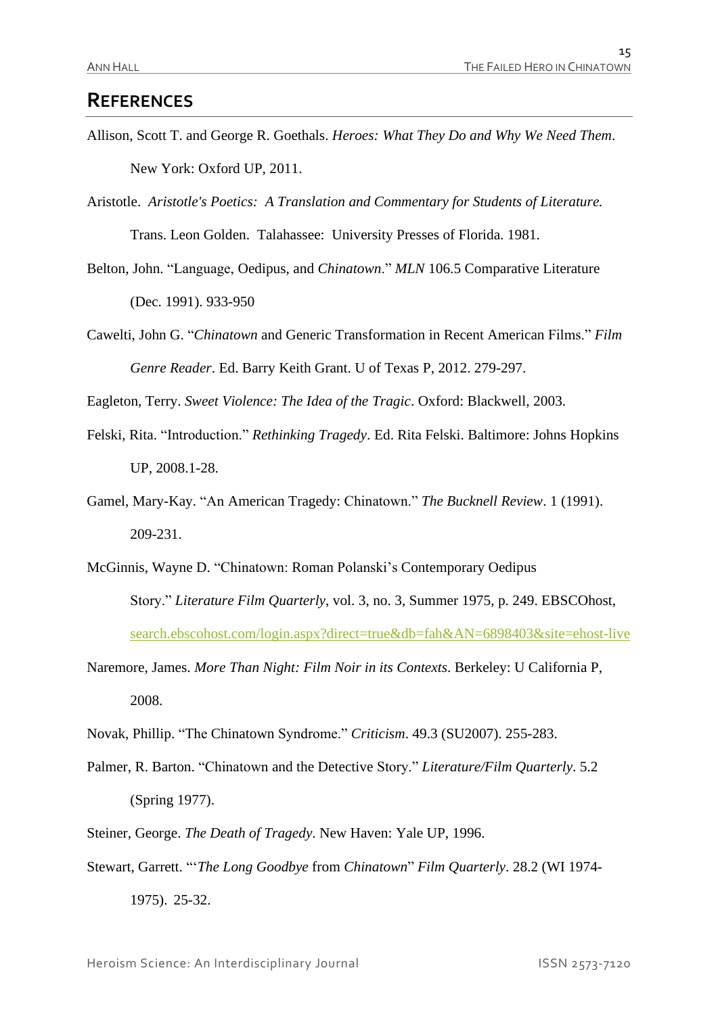### **REFERENCES**

- Allison, Scott T. and George R. Goethals. *Heroes: What They Do and Why We Need Them*. New York: Oxford UP, 2011.
- Aristotle. *Aristotle's Poetics: A Translation and Commentary for Students of Literature.*  Trans. Leon Golden. Talahassee: University Presses of Florida. 1981.
- Belton, John. "Language, Oedipus, and *Chinatown*." *MLN* 106.5 Comparative Literature (Dec. 1991). 933-950
- Cawelti, John G. "*Chinatown* and Generic Transformation in Recent American Films." *Film Genre Reader*. Ed. Barry Keith Grant. U of Texas P, 2012. 279-297.

Eagleton, Terry. *Sweet Violence: The Idea of the Tragic*. Oxford: Blackwell, 2003.

- Felski, Rita. "Introduction." *Rethinking Tragedy*. Ed. Rita Felski. Baltimore: Johns Hopkins UP, 2008.1-28.
- Gamel, Mary-Kay. "An American Tragedy: Chinatown." *The Bucknell Review*. 1 (1991). 209-231.
- McGinnis, Wayne D. "Chinatown: Roman Polanski's Contemporary Oedipus Story." *Literature Film Quarterly*, vol. 3, no. 3, Summer 1975, p. 249. EBSCOhost, [search.ebscohost.com/login.aspx?direct=true&db=fah&AN=6898403&site=ehost-live](http://search.ebscohost.com/login.aspx?direct=true&db=fah&AN=6898403&site=ehost-live)
- Naremore, James. *More Than Night: Film Noir in its Contexts*. Berkeley: U California P, 2008.
- Novak, Phillip. "The Chinatown Syndrome." *Criticism*. 49.3 (SU2007). 255-283.
- Palmer, R. Barton. "Chinatown and the Detective Story." *Literature/Film Quarterly*. 5.2 (Spring 1977).
- Steiner, George. *The Death of Tragedy*. New Haven: Yale UP, 1996.
- Stewart, Garrett. "'*The Long Goodbye* from *Chinatown*" *Film Quarterly*. 28.2 (WI 1974- 1975). 25-32.

Heroism Science: An Interdisciplinary Journal ISSN 2573-7120